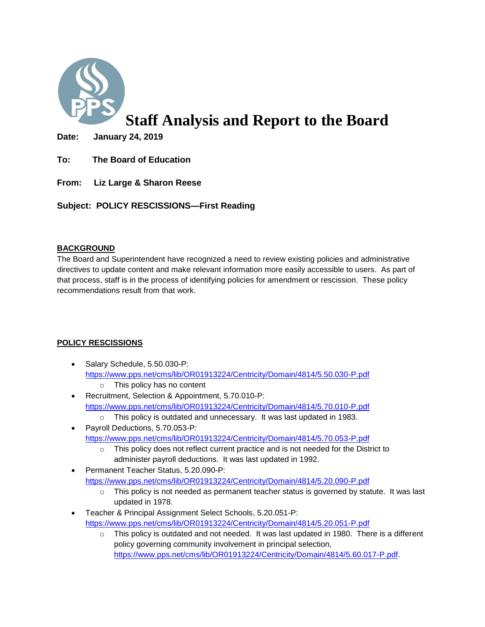

# **Staff Analysis and Report to the Board**

**Date: January 24, 2019** 

- **To: The Board of Education**
- **From: Liz Large & Sharon Reese**

**Subject: POLICY RESCISSIONS—First Reading**

### **BACKGROUND**

The Board and Superintendent have recognized a need to review existing policies and administrative directives to update content and make relevant information more easily accessible to users. As part of that process, staff is in the process of identifying policies for amendment or rescission. These policy recommendations result from that work.

### **POLICY RESCISSIONS**

- Salary Schedule, 5.50.030-P: <https://www.pps.net/cms/lib/OR01913224/Centricity/Domain/4814/5.50.030-P.pdf>
	- o This policy has no content
- Recruitment, Selection & Appointment, 5.70.010-P: <https://www.pps.net/cms/lib/OR01913224/Centricity/Domain/4814/5.70.010-P.pdf>
	- o This policy is outdated and unnecessary. It was last updated in 1983.
- Payroll Deductions, 5.70.053-P: <https://www.pps.net/cms/lib/OR01913224/Centricity/Domain/4814/5.70.053-P.pdf>
	- o This policy does not reflect current practice and is not needed for the District to administer payroll deductions. It was last updated in 1992.
- Permanent Teacher Status, 5.20.090-P: <https://www.pps.net/cms/lib/OR01913224/Centricity/Domain/4814/5.20.090-P.pdf>
	- $\circ$  This policy is not needed as permanent teacher status is governed by statute. It was last updated in 1978.
- Teacher & Principal Assignment Select Schools, 5.20.051-P: <https://www.pps.net/cms/lib/OR01913224/Centricity/Domain/4814/5.20.051-P.pdf>
	- $\circ$  This policy is outdated and not needed. It was last updated in 1980. There is a different policy governing community involvement in principal selection, [https://www.pps.net/cms/lib/OR01913224/Centricity/Domain/4814/5.60.017-P.pdf.](https://www.pps.net/cms/lib/OR01913224/Centricity/Domain/4814/5.60.017-P.pdf)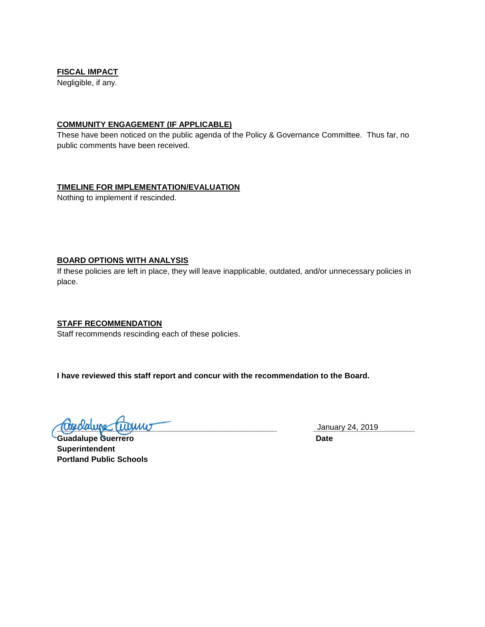### **FISCAL IMPACT**

Negligible, if any.

#### **COMMUNITY ENGAGEMENT (IF APPLICABLE)**

These have been noticed on the public agenda of the Policy & Governance Committee. Thus far, no public comments have been received.

#### **TIMELINE FOR IMPLEMENTATION/EVALUATION**

Nothing to implement if rescinded.

#### **BOARD OPTIONS WITH ANALYSIS**

If these policies are left in place, they will leave inapplicable, outdated, and/or unnecessary policies in place.

#### **STAFF RECOMMENDATION**

Staff recommends rescinding each of these policies.

**I have reviewed this staff report and concur with the recommendation to the Board.**

**\_\_\_\_\_\_\_\_\_\_\_\_\_\_\_\_\_\_\_\_\_\_\_\_\_\_\_\_\_\_\_\_\_\_\_\_\_\_\_\_\_\_\_\_\_\_\_\_\_\_ \_\_\_\_\_\_\_\_\_\_\_\_\_\_\_\_\_\_\_\_\_\_\_**

Guadalupe Guerrero **Date Superintendent Portland Public Schools**

January 24, 2019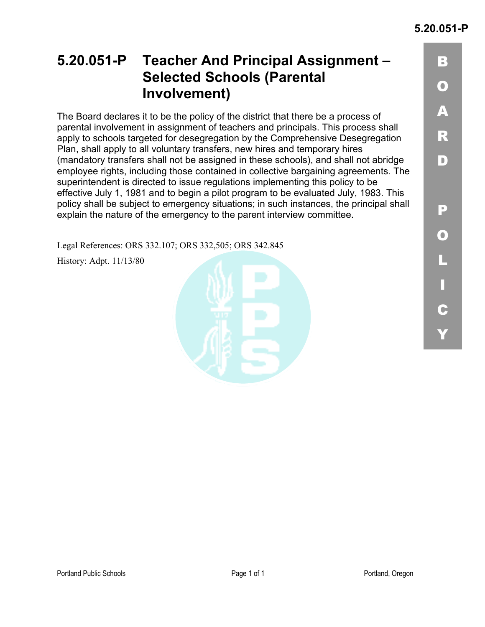B

## **5.20.051-P Teacher And Principal Assignment – Selected Schools (Parental Involvement)**

The Board declares it to be the policy of the district that there be a process of parental involvement in assignment of teachers and principals. This process shall apply to schools targeted for desegregation by the Comprehensive Desegregation Plan, shall apply to all voluntary transfers, new hires and temporary hires (mandatory transfers shall not be assigned in these schools), and shall not abridge employee rights, including those contained in collective bargaining agreements. The superintendent is directed to issue regulations implementing this policy to be effective July 1, 1981 and to begin a pilot program to be evaluated July, 1983. This policy shall be subject to emergency situations; in such instances, the principal shall explain the nature of the emergency to the parent interview committee.

Legal References: ORS 332.107; ORS 332,505; ORS 342.845

History: Adpt. 11/13/80

Y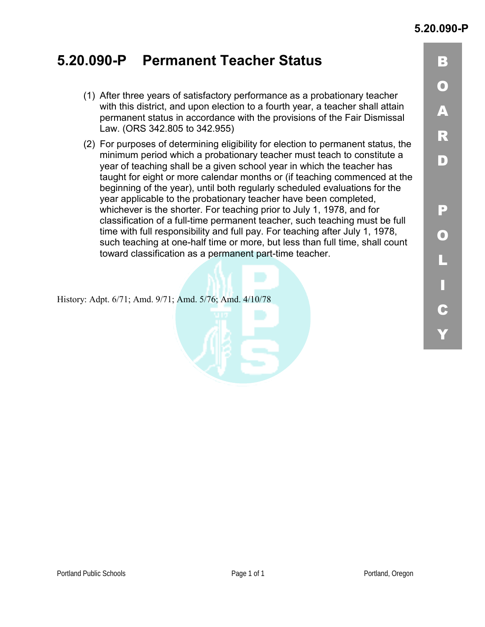### **5.20.090-P Permanent Teacher Status**

- (1) After three years of satisfactory performance as a probationary teacher with this district, and upon election to a fourth year, a teacher shall attain permanent status in accordance with the provisions of the Fair Dismissal Law. (ORS 342.805 to 342.955)
- (2) For purposes of determining eligibility for election to permanent status, the minimum period which a probationary teacher must teach to constitute a year of teaching shall be a given school year in which the teacher has taught for eight or more calendar months or (if teaching commenced at the beginning of the year), until both regularly scheduled evaluations for the year applicable to the probationary teacher have been completed, whichever is the shorter. For teaching prior to July 1, 1978, and for classification of a full-time permanent teacher, such teaching must be full time with full responsibility and full pay. For teaching after July 1, 1978, such teaching at one-half time or more, but less than full time, shall count toward classification as a permanent part-time teacher.

History: Adpt. 6/71; Amd. 9/71; Amd. 5/76; Amd. 4/10/78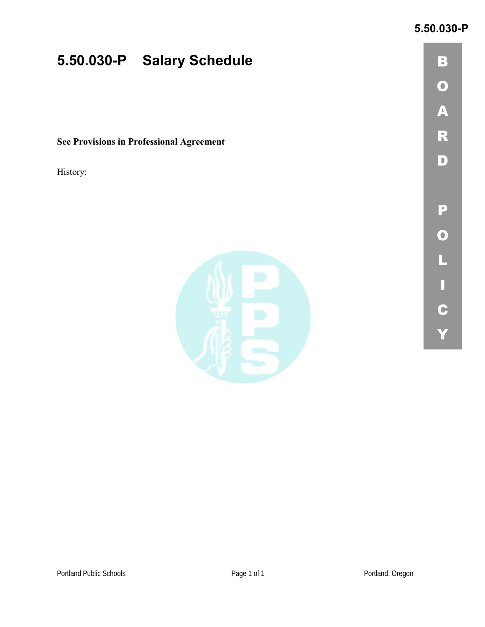### **5.50.030-P**

# **5.50.030-P Salary Schedule**

**See Provisions in Professional Agreement** 

History:

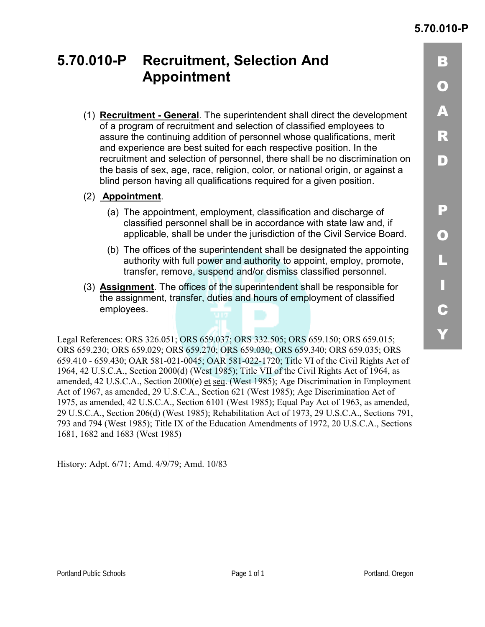<u>| 3</u>

 $\mathbf O$ 

 $\blacktriangle$ 

 $\overline{\mathbf{R}}$ 

 $\vert$ D)

P)

 $\mathbf O$ 

("

)"

C

+"

## **5.70.010-P Recruitment, Selection And Appointment**

- (1) **Recruitment General**. The superintendent shall direct the development of a program of recruitment and selection of classified employees to assure the continuing addition of personnel whose qualifications, merit and experience are best suited for each respective position. In the recruitment and selection of personnel, there shall be no discrimination on the basis of sex, age, race, religion, color, or national origin, or against a blind person having all qualifications required for a given position.
- (2) **Appointment**.
	- (a) The appointment, employment, classification and discharge of classified personnel shall be in accordance with state law and, if applicable, shall be under the jurisdiction of the Civil Service Board.
	- (b) The offices of the superintendent shall be designated the appointing authority with full power and authority to appoint, employ, promote, transfer, remove, suspend and/or dismiss classified personnel.
- (3) **Assignment**. The offices of the superintendent shall be responsible for the assignment, transfer, duties and hours of employment of classified employees.

Legal References: ORS 326.051; ORS 659.037; ORS 332.505; ORS 659.150; ORS 659.015; ORS 659.230; ORS 659.029; ORS 659.270; ORS 659.030; ORS 659.340; ORS 659.035; ORS 659.410 - 659.430; OAR 581-021-0045; OAR 581-022-1720; Title VI of the Civil Rights Act of 1964, 42 U.S.C.A., Section 2000(d) (West 1985); Title VII of the Civil Rights Act of 1964, as amended, 42 U.S.C.A., Section 2000(e) et seq. (West 1985); Age Discrimination in Employment Act of 1967, as amended, 29 U.S.C.A., Section 621 (West 1985); Age Discrimination Act of 1975, as amended, 42 U.S.C.A., Section 6101 (West 1985); Equal Pay Act of 1963, as amended, 29 U.S.C.A., Section 206(d) (West 1985); Rehabilitation Act of 1973, 29 U.S.C.A., Sections 791, 793 and 794 (West 1985); Title IX of the Education Amendments of 1972, 20 U.S.C.A., Sections 1681, 1682 and 1683 (West 1985)

History: Adpt. 6/71; Amd. 4/9/79; Amd. 10/83